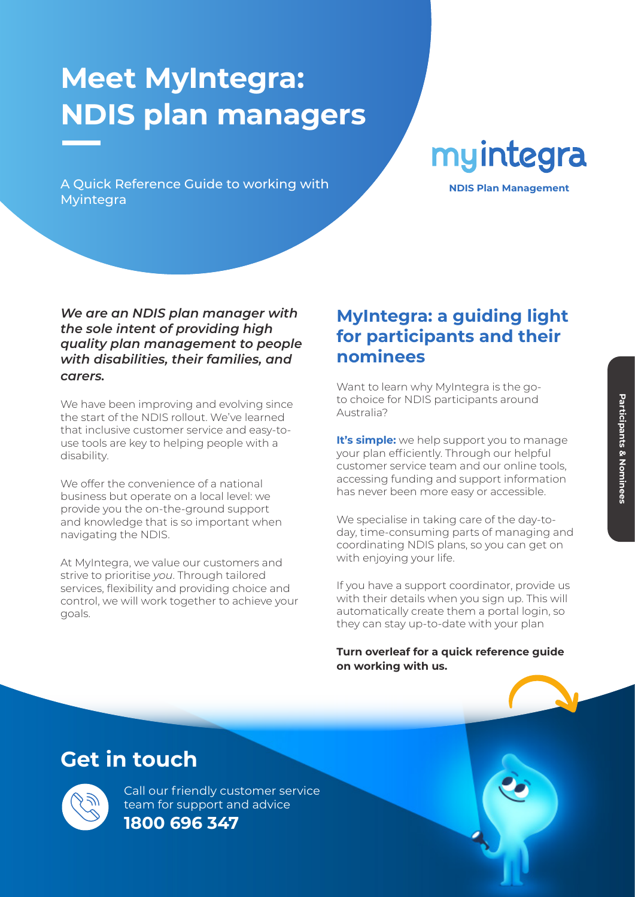# **Meet MyIntegra: NDIS plan managers**

A Quick Reference Guide to working with **NOIS Plan Management** Myintegra

myintegra

#### *We are an NDIS plan manager with the sole intent of providing high quality plan management to people with disabilities, their families, and carers.*

We have been improving and evolving since the start of the NDIS rollout. We've learned that inclusive customer service and easy-touse tools are key to helping people with a disability.

We offer the convenience of a national business but operate on a local level: we provide you the on-the-ground support and knowledge that is so important when navigating the NDIS.

At MyIntegra, we value our customers and strive to prioritise *you*. Through tailored services, flexibility and providing choice and control, we will work together to achieve your goals.

### **MyIntegra: a guiding light for participants and their nominees**

Want to learn why MyIntegra is the goto choice for NDIS participants around Australia?

**It's simple:** we help support you to manage your plan efficiently. Through our helpful customer service team and our online tools, accessing funding and support information has never been more easy or accessible.

We specialise in taking care of the day-today, time-consuming parts of managing and coordinating NDIS plans, so you can get on with enjoying your life.

If you have a support coordinator, provide us with their details when you sign up. This will automatically create them a portal login, so they can stay up-to-date with your plan

**Turn overleaf for a quick reference guide on working with us.**

## **Get in touch**



Call our friendly customer service team for support and advice **1800 696 347**